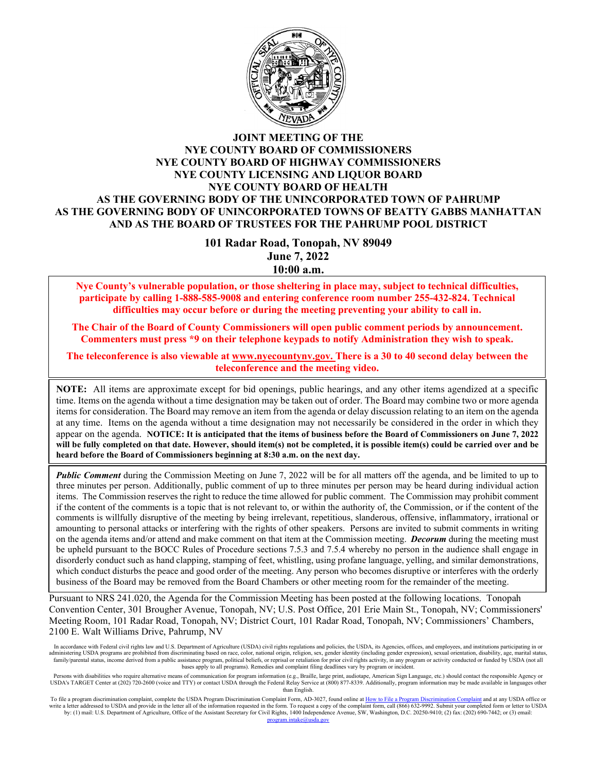

#### **JOINT MEETING OF THE NYE COUNTY BOARD OF COMMISSIONERS NYE COUNTY BOARD OF HIGHWAY COMMISSIONERS NYE COUNTY LICENSING AND LIQUOR BOARD NYE COUNTY BOARD OF HEALTH AS THE GOVERNING BODY OF THE UNINCORPORATED TOWN OF PAHRUMP AS THE GOVERNING BODY OF UNINCORPORATED TOWNS OF BEATTY GABBS MANHATTAN AND AS THE BOARD OF TRUSTEES FOR THE PAHRUMP POOL DISTRICT**

**101 Radar Road, Tonopah, NV 89049 June 7, 2022 10:00 a.m.**

**Nye County's vulnerable population, or those sheltering in place may, subject to technical difficulties, participate by calling 1-888-585-9008 and entering conference room number 255-432-824. Technical difficulties may occur before or during the meeting preventing your ability to call in.** 

**The Chair of the Board of County Commissioners will open public comment periods by announcement. Commenters must press \*9 on their telephone keypads to notify Administration they wish to speak.** 

**The teleconference is also viewable at [www.nyecountynv.gov.](file://3fs-ton/Admin/T_Admin/Agendas/BOCC/Agendas%20Current/www.nyecountynv.gov) There is a 30 to 40 second delay between the teleconference and the meeting video.**

**NOTE:** All items are approximate except for bid openings, public hearings, and any other items agendized at a specific time. Items on the agenda without a time designation may be taken out of order. The Board may combine two or more agenda items for consideration. The Board may remove an item from the agenda or delay discussion relating to an item on the agenda at any time. Items on the agenda without a time designation may not necessarily be considered in the order in which they appear on the agenda. **NOTICE: It is anticipated that the items of business before the Board of Commissioners on June 7, 2022 will be fully completed on that date. However, should item(s) not be completed, it is possible item(s) could be carried over and be heard before the Board of Commissioners beginning at 8:30 a.m. on the next day.**

*Public Comment* during the Commission Meeting on June 7, 2022 will be for all matters off the agenda, and be limited to up to three minutes per person. Additionally, public comment of up to three minutes per person may be heard during individual action items. The Commission reserves the right to reduce the time allowed for public comment. The Commission may prohibit comment if the content of the comments is a topic that is not relevant to, or within the authority of, the Commission, or if the content of the comments is willfully disruptive of the meeting by being irrelevant, repetitious, slanderous, offensive, inflammatory, irrational or amounting to personal attacks or interfering with the rights of other speakers. Persons are invited to submit comments in writing on the agenda items and/or attend and make comment on that item at the Commission meeting. *Decorum* during the meeting must be upheld pursuant to the BOCC Rules of Procedure sections 7.5.3 and 7.5.4 whereby no person in the audience shall engage in disorderly conduct such as hand clapping, stamping of feet, whistling, using profane language, yelling, and similar demonstrations, which conduct disturbs the peace and good order of the meeting. Any person who becomes disruptive or interferes with the orderly business of the Board may be removed from the Board Chambers or other meeting room for the remainder of the meeting.

Pursuant to NRS 241.020, the Agenda for the Commission Meeting has been posted at the following locations. Tonopah Convention Center, 301 Brougher Avenue, Tonopah, NV; U.S. Post Office, 201 Erie Main St., Tonopah, NV; Commissioners' Meeting Room, 101 Radar Road, Tonopah, NV; District Court, 101 Radar Road, Tonopah, NV; Commissioners' Chambers, 2100 E. Walt Williams Drive, Pahrump, NV

In accordance with Federal civil rights law and U.S. Department of Agriculture (USDA) civil rights regulations and policies, the USDA, its Agencies, offices, and employees, and institutions participating in or diministerin administering USDA programs are prohibited from discriminating based on race, color, national origin, religion, sex, gender identity (including gender expression), sexual orientation, disability, family/parental status, income derived from a public assistance program, political beliefs, or reprisal or retaliation for prior civil rights activity, in any program or activity conducted or funded by USDA (not all bases apply to all programs). Remedies and complaint filing deadlines vary by program or incident.

Persons with disabilities who require alternative means of communication for program information (e.g., Braille, large print, audiotape, American Sign Language, etc.) should contact the responsible Agency or<br>USDA's TARGET than English.

To file a program discrimination complaint, complete the USDA Program Discrimination Complaint Form, AD-3027, found online a[t How to File a Program Discrimination Complaint](https://www.ascr.usda.gov/how-file-program-discrimination-complaint) and at any USDA office or write a letter addressed to USDA and provide in the letter all of the information requested in the form. To request a copy of the complaint form, call (866) 632-9992. Submit your completed form or letter to USDA by: (1) ma da gov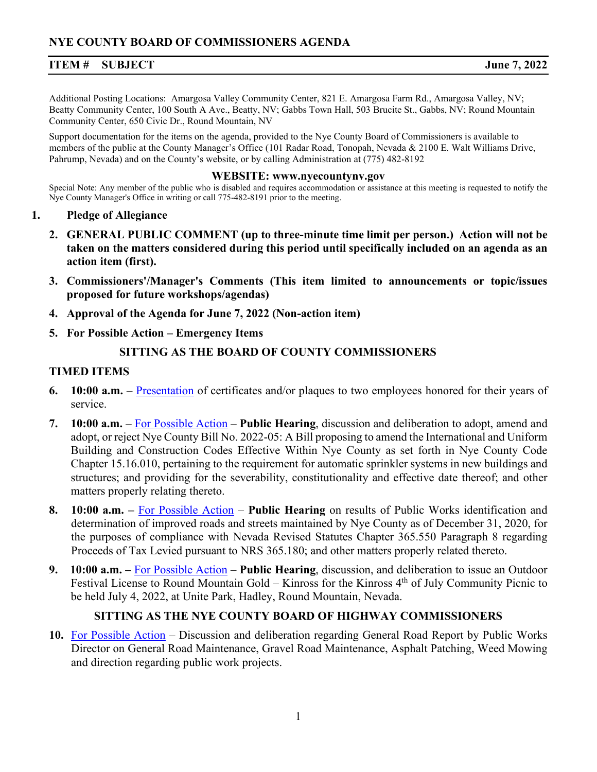# **ITEM # SUBJECT June 7, 2022**

Additional Posting Locations: Amargosa Valley Community Center, 821 E. Amargosa Farm Rd., Amargosa Valley, NV; Beatty Community Center, 100 South A Ave., Beatty, NV; Gabbs Town Hall, 503 Brucite St., Gabbs, NV; Round Mountain Community Center, 650 Civic Dr., Round Mountain, NV

Support documentation for the items on the agenda, provided to the Nye County Board of Commissioners is available to members of the public at the County Manager's Office (101 Radar Road, Tonopah, Nevada & 2100 E. Walt Williams Drive, Pahrump, Nevada) and on the County's website, or by calling Administration at (775) 482-8192

#### **WEBSITE: www.nyecountynv.gov**

Special Note: Any member of the public who is disabled and requires accommodation or assistance at this meeting is requested to notify the Nye County Manager's Office in writing or call 775-482-8191 prior to the meeting.

- **1. Pledge of Allegiance**
	- **2. GENERAL PUBLIC COMMENT (up to three-minute time limit per person.) Action will not be taken on the matters considered during this period until specifically included on an agenda as an action item (first).**
	- **3. Commissioners'/Manager's Comments (This item limited to announcements or topic/issues proposed for future workshops/agendas)**
	- **4. Approval of the Agenda for June 7, 2022 (Non-action item)**
	- **5. For Possible Action – Emergency Items**

# **SITTING AS THE BOARD OF COUNTY COMMISSIONERS**

### **TIMED ITEMS**

- **6. 10:00 a.m.**  [Presentation](https://www.nyecountynv.gov/DocumentCenter/View/41318/Item6) of certificates and/or plaques to two employees honored for their years of service.
- **7. 10:00 a.m.** [For Possible Action](https://www.nyecountynv.gov/DocumentCenter/View/41319/Item7) **Public Hearing**, discussion and deliberation to adopt, amend and adopt, or reject Nye County Bill No. 2022-05: A Bill proposing to amend the International and Uniform Building and Construction Codes Effective Within Nye County as set forth in Nye County Code Chapter 15.16.010, pertaining to the requirement for automatic sprinkler systems in new buildings and structures; and providing for the severability, constitutionality and effective date thereof; and other matters properly relating thereto.
- **8. 10:00 a.m. –** [For Possible Action](https://www.nyecountynv.gov/DocumentCenter/View/41320/Item8) **Public Hearing** on results of Public Works identification and determination of improved roads and streets maintained by Nye County as of December 31, 2020, for the purposes of compliance with Nevada Revised Statutes Chapter 365.550 Paragraph 8 regarding Proceeds of Tax Levied pursuant to NRS 365.180; and other matters properly related thereto.
- **9. 10:00 a.m. –** [For Possible Action](https://www.nyecountynv.gov/DocumentCenter/View/41321/Item9) **Public Hearing**, discussion, and deliberation to issue an Outdoor Festival License to Round Mountain Gold – Kinross for the Kinross 4th of July Community Picnic to be held July 4, 2022, at Unite Park, Hadley, Round Mountain, Nevada.

# **SITTING AS THE NYE COUNTY BOARD OF HIGHWAY COMMISSIONERS**

**10.** [For Possible Action](https://www.nyecountynv.gov/DocumentCenter/View/41322/Item10) – Discussion and deliberation regarding General Road Report by Public Works Director on General Road Maintenance, Gravel Road Maintenance, Asphalt Patching, Weed Mowing and direction regarding public work projects.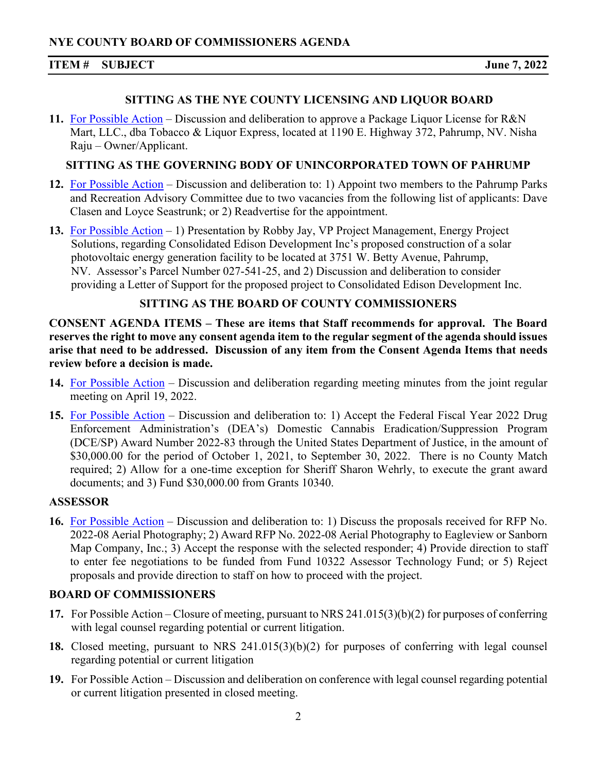# **ITEM # SUBJECT June 7, 2022**

# **SITTING AS THE NYE COUNTY LICENSING AND LIQUOR BOARD**

**11.** [For Possible Action](https://www.nyecountynv.gov/DocumentCenter/View/41323/Item11) – Discussion and deliberation to approve a Package Liquor License for R&N Mart, LLC., dba Tobacco & Liquor Express, located at 1190 E. Highway 372, Pahrump, NV. Nisha Raju – Owner/Applicant.

# **SITTING AS THE GOVERNING BODY OF UNINCORPORATED TOWN OF PAHRUMP**

- **12.** [For Possible Action](https://www.nyecountynv.gov/DocumentCenter/View/41324/Item12) Discussion and deliberation to: 1) Appoint two members to the Pahrump Parks and Recreation Advisory Committee due to two vacancies from the following list of applicants: Dave Clasen and Loyce Seastrunk; or 2) Readvertise for the appointment.
- **13.** [For Possible Action](https://www.nyecountynv.gov/DocumentCenter/View/41325/Item13) 1) Presentation by Robby Jay, VP Project Management, Energy Project Solutions, regarding Consolidated Edison Development Inc's proposed construction of a solar photovoltaic energy generation facility to be located at 3751 W. Betty Avenue, Pahrump, NV. Assessor's Parcel Number 027-541-25, and 2) Discussion and deliberation to consider providing a Letter of Support for the proposed project to Consolidated Edison Development Inc.

# **SITTING AS THE BOARD OF COUNTY COMMISSIONERS**

**CONSENT AGENDA ITEMS – These are items that Staff recommends for approval. The Board reserves the right to move any consent agenda item to the regular segment of the agenda should issues arise that need to be addressed. Discussion of any item from the Consent Agenda Items that needs review before a decision is made.** 

- **14.** [For Possible Action](https://www.nyecountynv.gov/DocumentCenter/View/41326/Item14) Discussion and deliberation regarding meeting minutes from the joint regular meeting on April 19, 2022.
- **15.** [For Possible Action](https://www.nyecountynv.gov/DocumentCenter/View/41327/Item15) Discussion and deliberation to: 1) Accept the Federal Fiscal Year 2022 Drug Enforcement Administration's (DEA's) Domestic Cannabis Eradication/Suppression Program (DCE/SP) Award Number 2022-83 through the United States Department of Justice, in the amount of \$30,000.00 for the period of October 1, 2021, to September 30, 2022. There is no County Match required; 2) Allow for a one-time exception for Sheriff Sharon Wehrly, to execute the grant award documents; and 3) Fund \$30,000.00 from Grants 10340.

# **ASSESSOR**

**16.** [For Possible Action](https://www.nyecountynv.gov/DocumentCenter/View/41328/Item16) – Discussion and deliberation to: 1) Discuss the proposals received for RFP No. 2022-08 Aerial Photography; 2) Award RFP No. 2022-08 Aerial Photography to Eagleview or Sanborn Map Company, Inc.; 3) Accept the response with the selected responder; 4) Provide direction to staff to enter fee negotiations to be funded from Fund 10322 Assessor Technology Fund; or 5) Reject proposals and provide direction to staff on how to proceed with the project.

# **BOARD OF COMMISSIONERS**

- **17.** For Possible Action Closure of meeting, pursuant to NRS 241.015(3)(b)(2) for purposes of conferring with legal counsel regarding potential or current litigation.
- **18.** Closed meeting, pursuant to NRS 241.015(3)(b)(2) for purposes of conferring with legal counsel regarding potential or current litigation
- **19.** For Possible Action Discussion and deliberation on conference with legal counsel regarding potential or current litigation presented in closed meeting.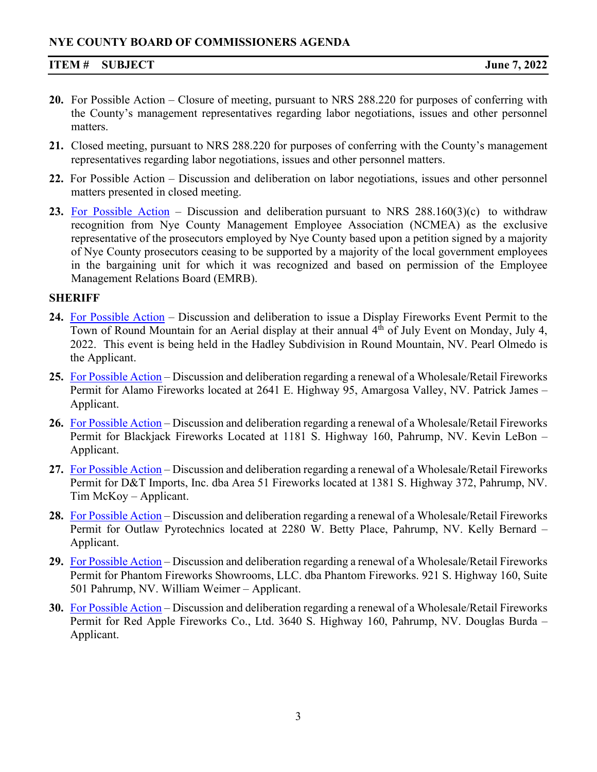# **NYE COUNTY BOARD OF COMMISSIONERS AGENDA**

### **ITEM # SUBJECT June 7, 2022**

- **20.** For Possible Action Closure of meeting, pursuant to NRS 288.220 for purposes of conferring with the County's management representatives regarding labor negotiations, issues and other personnel matters.
- **21.** Closed meeting, pursuant to NRS 288.220 for purposes of conferring with the County's management representatives regarding labor negotiations, issues and other personnel matters.
- **22.** For Possible Action Discussion and deliberation on labor negotiations, issues and other personnel matters presented in closed meeting.
- **23.** [For Possible Action](https://www.nyecountynv.gov/DocumentCenter/View/41329/Item23) Discussion and deliberation pursuant to NRS 288.160(3)(c) to withdraw recognition from Nye County Management Employee Association (NCMEA) as the exclusive representative of the prosecutors employed by Nye County based upon a petition signed by a majority of Nye County prosecutors ceasing to be supported by a majority of the local government employees in the bargaining unit for which it was recognized and based on permission of the Employee Management Relations Board (EMRB).

#### **SHERIFF**

- **24.** [For Possible Action](https://www.nyecountynv.gov/DocumentCenter/View/41330/Item24) Discussion and deliberation to issue a Display Fireworks Event Permit to the Town of Round Mountain for an Aerial display at their annual 4<sup>th</sup> of July Event on Monday, July 4, 2022. This event is being held in the Hadley Subdivision in Round Mountain, NV. Pearl Olmedo is the Applicant.
- **25.** [For Possible Action](https://www.nyecountynv.gov/DocumentCenter/View/41331/Item25) Discussion and deliberation regarding a renewal of a Wholesale/Retail Fireworks Permit for Alamo Fireworks located at 2641 E. Highway 95, Amargosa Valley, NV. Patrick James – Applicant.
- **26.** [For Possible Action](https://www.nyecountynv.gov/DocumentCenter/View/41332/Item26) Discussion and deliberation regarding a renewal of a Wholesale/Retail Fireworks Permit for Blackjack Fireworks Located at 1181 S. Highway 160, Pahrump, NV. Kevin LeBon – Applicant.
- **27.** [For Possible Action](https://www.nyecountynv.gov/DocumentCenter/View/41333/Item27) Discussion and deliberation regarding a renewal of a Wholesale/Retail Fireworks Permit for D&T Imports, Inc. dba Area 51 Fireworks located at 1381 S. Highway 372, Pahrump, NV. Tim McKoy – Applicant.
- **28.** [For Possible Action](https://www.nyecountynv.gov/DocumentCenter/View/41334/Item28) Discussion and deliberation regarding a renewal of a Wholesale/Retail Fireworks Permit for Outlaw Pyrotechnics located at 2280 W. Betty Place, Pahrump, NV. Kelly Bernard – Applicant.
- **29.** [For Possible Action](https://www.nyecountynv.gov/DocumentCenter/View/41335/Item29) Discussion and deliberation regarding a renewal of a Wholesale/Retail Fireworks Permit for Phantom Fireworks Showrooms, LLC. dba Phantom Fireworks. 921 S. Highway 160, Suite 501 Pahrump, NV. William Weimer – Applicant.
- **30.** [For Possible Action](https://www.nyecountynv.gov/DocumentCenter/View/41336/Item30) Discussion and deliberation regarding a renewal of a Wholesale/Retail Fireworks Permit for Red Apple Fireworks Co., Ltd. 3640 S. Highway 160, Pahrump, NV. Douglas Burda – Applicant.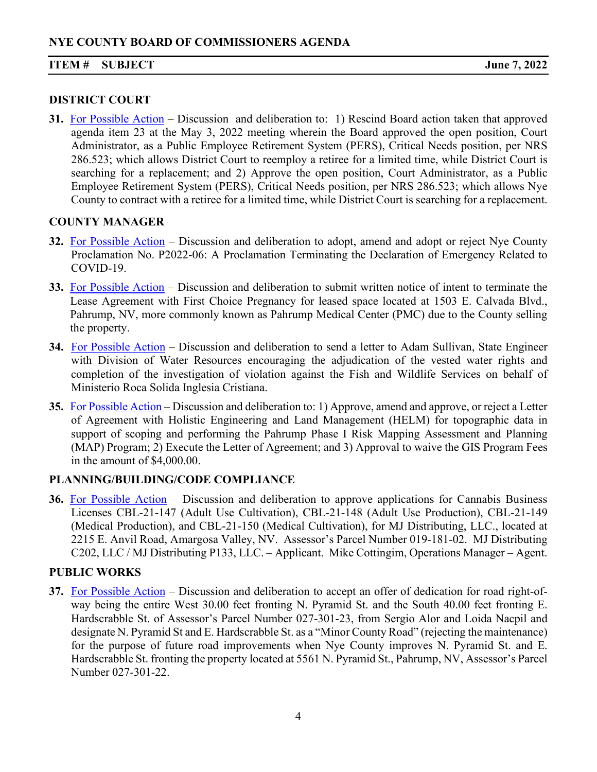#### **ITEM # SUBJECT June 7, 2022**

#### **DISTRICT COURT**

**31.** [For Possible Action](https://www.nyecountynv.gov/DocumentCenter/View/41337/Item31) – Discussion and deliberation to: 1) Rescind Board action taken that approved agenda item 23 at the May 3, 2022 meeting wherein the Board approved the open position, Court Administrator, as a Public Employee Retirement System (PERS), Critical Needs position, per NRS 286.523; which allows District Court to reemploy a retiree for a limited time, while District Court is searching for a replacement; and 2) Approve the open position, Court Administrator, as a Public Employee Retirement System (PERS), Critical Needs position, per NRS 286.523; which allows Nye County to contract with a retiree for a limited time, while District Court is searching for a replacement.

### **COUNTY MANAGER**

- **32.** [For Possible Action](https://www.nyecountynv.gov/DocumentCenter/View/41338/Item32) Discussion and deliberation to adopt, amend and adopt or reject Nye County Proclamation No. P2022-06: A Proclamation Terminating the Declaration of Emergency Related to COVID-19.
- **33.** [For Possible Action](https://www.nyecountynv.gov/DocumentCenter/View/41339/Item33) Discussion and deliberation to submit written notice of intent to terminate the Lease Agreement with First Choice Pregnancy for leased space located at 1503 E. Calvada Blvd., Pahrump, NV, more commonly known as Pahrump Medical Center (PMC) due to the County selling the property.
- **34.** [For Possible Action](https://www.nyecountynv.gov/DocumentCenter/View/41340/Item34) Discussion and deliberation to send a letter to Adam Sullivan, State Engineer with Division of Water Resources encouraging the adjudication of the vested water rights and completion of the investigation of violation against the Fish and Wildlife Services on behalf of Ministerio Roca Solida Inglesia Cristiana.
- **35.** [For Possible Action](https://www.nyecountynv.gov/DocumentCenter/View/41341/Item35) Discussion and deliberation to: 1) Approve, amend and approve, or reject a Letter of Agreement with Holistic Engineering and Land Management (HELM) for topographic data in support of scoping and performing the Pahrump Phase I Risk Mapping Assessment and Planning (MAP) Program; 2) Execute the Letter of Agreement; and 3) Approval to waive the GIS Program Fees in the amount of \$4,000.00.

# **PLANNING/BUILDING/CODE COMPLIANCE**

**36.** [For Possible Action](https://www.nyecountynv.gov/DocumentCenter/View/41342/Item36) – Discussion and deliberation to approve applications for Cannabis Business Licenses CBL-21-147 (Adult Use Cultivation), CBL-21-148 (Adult Use Production), CBL-21-149 (Medical Production), and CBL-21-150 (Medical Cultivation), for MJ Distributing, LLC., located at 2215 E. Anvil Road, Amargosa Valley, NV. Assessor's Parcel Number 019-181-02. MJ Distributing C202, LLC / MJ Distributing P133, LLC. – Applicant. Mike Cottingim, Operations Manager – Agent.

# **PUBLIC WORKS**

**37.** [For Possible Action](https://www.nyecountynv.gov/DocumentCenter/View/41343/Item37) – Discussion and deliberation to accept an offer of dedication for road right-ofway being the entire West 30.00 feet fronting N. Pyramid St. and the South 40.00 feet fronting E. Hardscrabble St. of Assessor's Parcel Number 027-301-23, from Sergio Alor and Loida Nacpil and designate N. Pyramid St and E. Hardscrabble St. as a "Minor County Road" (rejecting the maintenance) for the purpose of future road improvements when Nye County improves N. Pyramid St. and E. Hardscrabble St. fronting the property located at 5561 N. Pyramid St., Pahrump, NV, Assessor's Parcel Number 027-301-22.